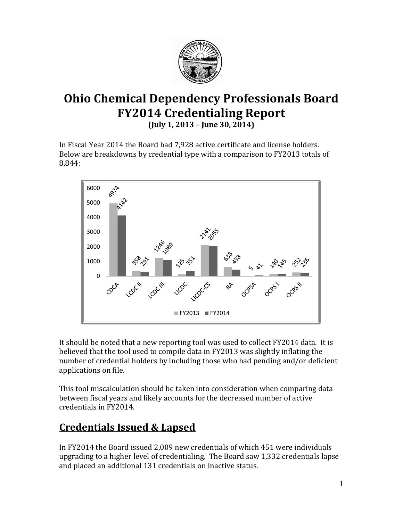

# **Ohio Chemical Dependency Professionals Board FY2014 Credentialing Report**

**(July 1, 2013 – June 30, 2014)**

In Fiscal Year 2014 the Board had 7,928 active certificate and license holders. Below are breakdowns by credential type with a comparison to FY2013 totals of 8,844:



It should be noted that a new reporting tool was used to collect FY2014 data. It is believed that the tool used to compile data in FY2013 was slightly inflating the number of credential holders by including those who had pending and/or deficient applications on file.

This tool miscalculation should be taken into consideration when comparing data between fiscal years and likely accounts for the decreased number of active credentials in FY2014.

## **Credentials Issued & Lapsed**

In FY2014 the Board issued 2,009 new credentials of which 451 were individuals upgrading to a higher level of credentialing. The Board saw 1,332 credentials lapse and placed an additional 131 credentials on inactive status.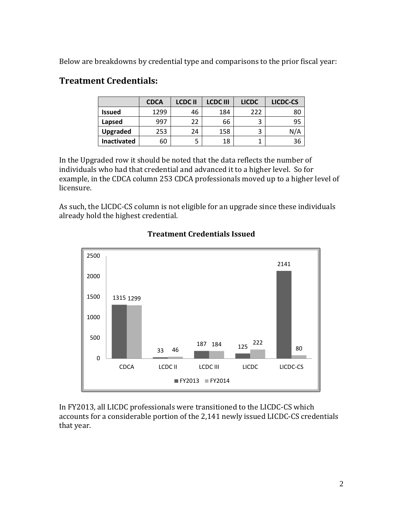Below are breakdowns by credential type and comparisons to the prior fiscal year:

### **Treatment Credentials:**

|                    | <b>CDCA</b> | <b>LCDCII</b> | <b>LCDC III</b> | <b>LICDC</b> | LICDC-CS |
|--------------------|-------------|---------------|-----------------|--------------|----------|
| <b>Issued</b>      | 1299        | 46            | 184             | 222          | 80       |
| Lapsed             | 997         | 22            | 66              | 3            | 95       |
| <b>Upgraded</b>    | 253         | 24            | 158             | 3            | N/A      |
| <b>Inactivated</b> | 60          |               | 18              |              | 36       |

In the Upgraded row it should be noted that the data reflects the number of individuals who had that credential and advanced it to a higher level. So for example, in the CDCA column 253 CDCA professionals moved up to a higher level of licensure.

As such, the LICDC-CS column is not eligible for an upgrade since these individuals already hold the highest credential.



#### **Treatment Credentials Issued**

In FY2013, all LICDC professionals were transitioned to the LICDC-CS which accounts for a considerable portion of the 2,141 newly issued LICDC-CS credentials that year.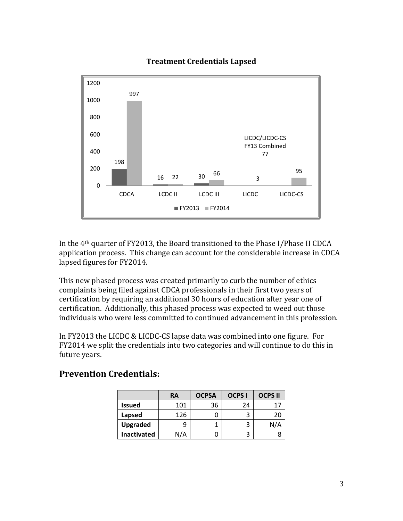#### **Treatment Credentials Lapsed**



In the 4th quarter of FY2013, the Board transitioned to the Phase I/Phase II CDCA application process. This change can account for the considerable increase in CDCA lapsed figures for FY2014.

This new phased process was created primarily to curb the number of ethics complaints being filed against CDCA professionals in their first two years of certification by requiring an additional 30 hours of education after year one of certification. Additionally, this phased process was expected to weed out those individuals who were less committed to continued advancement in this profession.

In FY2013 the LICDC & LICDC-CS lapse data was combined into one figure. For FY2014 we split the credentials into two categories and will continue to do this in future years.

|                    | RA  | <b>OCPSA</b> | <b>OCPS I</b> | <b>OCPS II</b> |
|--------------------|-----|--------------|---------------|----------------|
| <b>Issued</b>      | 101 | 36           | 24            | 17             |
| Lapsed             | 126 |              |               | 20             |
| <b>Upgraded</b>    |     |              |               | N/A            |
| <b>Inactivated</b> | N/A |              |               |                |

#### **Prevention Credentials:**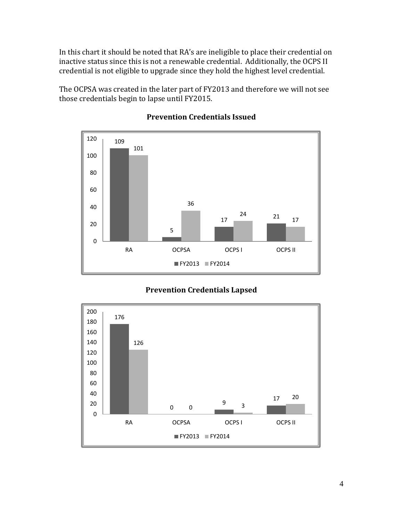In this chart it should be noted that RA's are ineligible to place their credential on inactive status since this is not a renewable credential. Additionally, the OCPS II credential is not eligible to upgrade since they hold the highest level credential.

The OCPSA was created in the later part of FY2013 and therefore we will not see those credentials begin to lapse until FY2015.



#### **Prevention Credentials Issued**

#### **Prevention Credentials Lapsed**

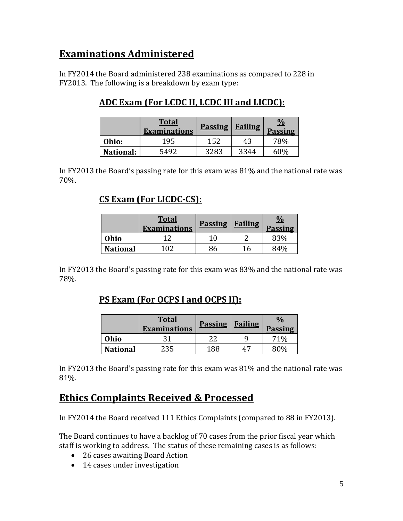## **Examinations Administered**

In FY2014 the Board administered 238 examinations as compared to 228 in FY2013. The following is a breakdown by exam type:

## **ADC Exam (For LCDC II, LCDC III and LICDC):**

|                  | <b>Total</b><br><b>Examinations</b> | <b>Passing</b> | <b>Failing</b> | $\frac{0}{0}$<br><b>Passing</b> |
|------------------|-------------------------------------|----------------|----------------|---------------------------------|
| Ohio:            | 195                                 | 152            | 43             | 78%                             |
| <b>National:</b> | 5492                                | 3283           | 3344           | 60%                             |

In FY2013 the Board's passing rate for this exam was 81% and the national rate was 70%.

### **CS Exam (For LICDC-CS):**

|                 | <b>Total</b><br><b>Examinations</b> | <b>Passing</b> | <b>Failing</b> | <u>%</u><br><b>Passing</b> |
|-----------------|-------------------------------------|----------------|----------------|----------------------------|
| Ohio            |                                     | 10             |                | 83%                        |
| <b>National</b> | 102                                 | 86             | 16             | 84%                        |

In FY2013 the Board's passing rate for this exam was 83% and the national rate was 78%.

### **PS Exam (For OCPS I and OCPS II):**

|                 | <b>Total</b><br><b>Examinations</b> | <b>Passing</b> | <b>Failing</b> | <b>Passing</b> |
|-----------------|-------------------------------------|----------------|----------------|----------------|
| Ohio            |                                     |                |                | 71%            |
| <b>National</b> | <sup>2</sup> 35                     | 188            |                | ጸሀላ            |

In FY2013 the Board's passing rate for this exam was 81% and the national rate was 81%.

## **Ethics Complaints Received & Processed**

In FY2014 the Board received 111 Ethics Complaints (compared to 88 in FY2013).

The Board continues to have a backlog of 70 cases from the prior fiscal year which staff is working to address. The status of these remaining cases is as follows:

- 26 cases awaiting Board Action
- 14 cases under investigation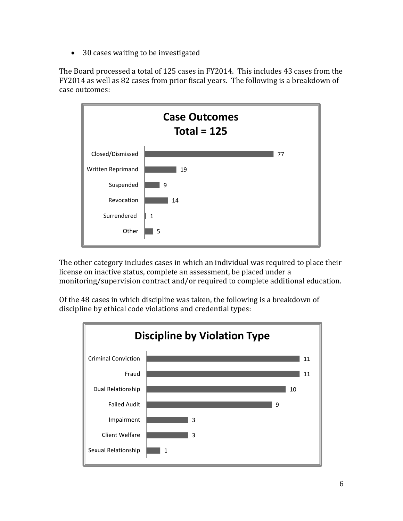• 30 cases waiting to be investigated

The Board processed a total of 125 cases in FY2014. This includes 43 cases from the FY2014 as well as 82 cases from prior fiscal years. The following is a breakdown of case outcomes:



The other category includes cases in which an individual was required to place their license on inactive status, complete an assessment, be placed under a monitoring/supervision contract and/or required to complete additional education.

Of the 48 cases in which discipline was taken, the following is a breakdown of discipline by ethical code violations and credential types: